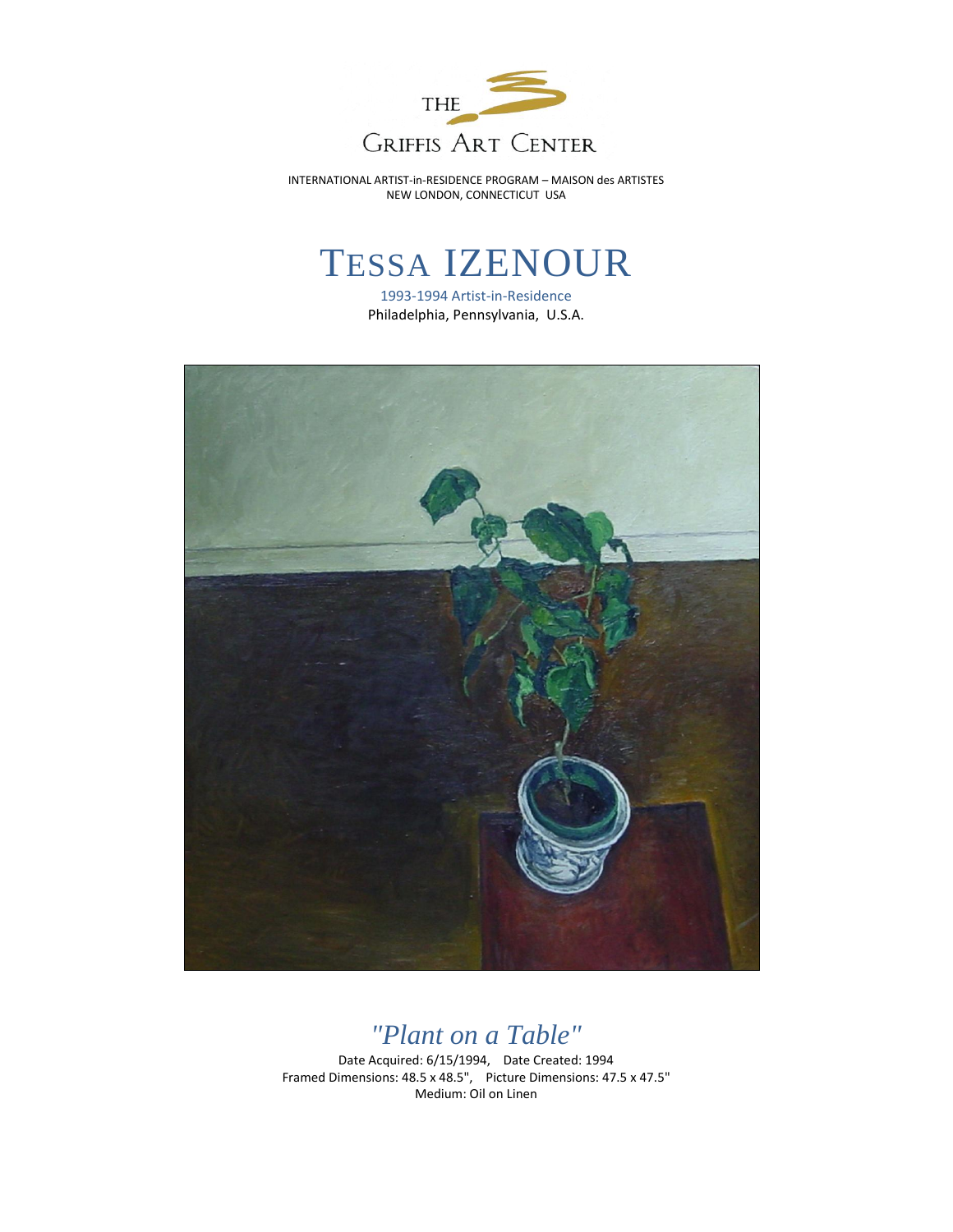

INTERNATIONAL ARTIST-in-RESIDENCE PROGRAM – MAISON des ARTISTES NEW LONDON, CONNECTICUT USA

## TESSA IZENOUR

1993-1994 Artist-in-Residence Philadelphia, Pennsylvania, U.S.A.



## *"Plant on a Table"*

Date Acquired: 6/15/1994, Date Created: 1994 Framed Dimensions: 48.5 x 48.5", Picture Dimensions: 47.5 x 47.5" Medium: Oil on Linen